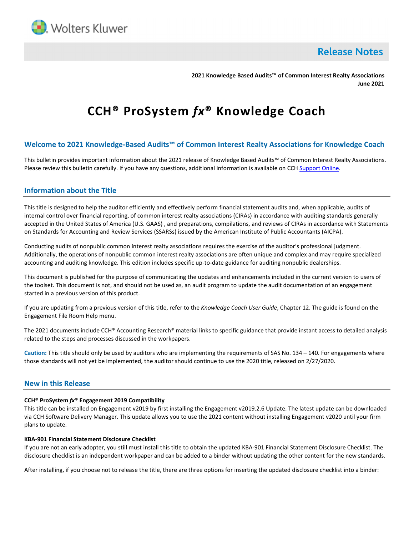

**Release Notes** 

**2021 Knowledge Based Audits™ of Common Interest Realty Associations June 2021**

# **CCH® ProSystem** *fx***® Knowledge Coach**

# **Welcome to 2021 Knowledge-Based Audits™ of Common Interest Realty Associations for Knowledge Coach**

This bulletin provides important information about the 2021 release of Knowledge Based Audits™ of Common Interest Realty Associations. Please review this bulletin carefully. If you have any questions, additional information is available on CCH [Support Online.](http://support.cch.com/productsupport/)

## **Information about the Title**

This title is designed to help the auditor efficiently and effectively perform financial statement audits and, when applicable, audits of internal control over financial reporting, of common interest realty associations (CIRAs) in accordance with auditing standards generally accepted in the United States of America (U.S. GAAS) , and preparations, compilations, and reviews of CIRAs in accordance with Statements on Standards for Accounting and Review Services (SSARSs) issued by the American Institute of Public Accountants (AICPA).

Conducting audits of nonpublic common interest realty associations requires the exercise of the auditor's professional judgment. Additionally, the operations of nonpublic common interest realty associations are often unique and complex and may require specialized accounting and auditing knowledge. This edition includes specific up-to-date guidance for auditing nonpublic dealerships.

This document is published for the purpose of communicating the updates and enhancements included in the current version to users of the toolset. This document is not, and should not be used as, an audit program to update the audit documentation of an engagement started in a previous version of this product.

If you are updating from a previous version of this title, refer to the *Knowledge Coach User Guide*, Chapter 12. The guide is found on the Engagement File Room Help menu.

The 2021 documents include CCH® Accounting Research® material links to specific guidance that provide instant access to detailed analysis related to the steps and processes discussed in the workpapers.

**Caution:** This title should only be used by auditors who are implementing the requirements of SAS No. 134 – 140. For engagements where those standards will not yet be implemented, the auditor should continue to use the 2020 title, released on 2/27/2020.

## **New in this Release**

## **CCH® ProSystem** *fx***® Engagement 2019 Compatibility**

This title can be installed on Engagement v2019 by first installing the Engagement v2019.2.6 Update. The latest update can be downloaded via CCH Software Delivery Manager. This update allows you to use the 2021 content without installing Engagement v2020 until your firm plans to update.

### **KBA-901 Financial Statement Disclosure Checklist**

If you are not an early adopter, you still must install this title to obtain the updated KBA-901 Financial Statement Disclosure Checklist. The disclosure checklist is an independent workpaper and can be added to a binder without updating the other content for the new standards.

After installing, if you choose not to release the title, there are three options for inserting the updated disclosure checklist into a binder: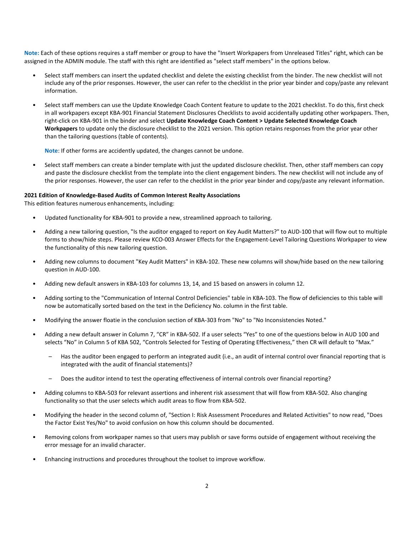**Note:** Each of these options requires a staff member or group to have the "Insert Workpapers from Unreleased Titles" right, which can be assigned in the ADMIN module. The staff with this right are identified as "select staff members" in the options below.

- Select staff members can insert the updated checklist and delete the existing checklist from the binder. The new checklist will not include any of the prior responses. However, the user can refer to the checklist in the prior year binder and copy/paste any relevant information.
- Select staff members can use the Update Knowledge Coach Content feature to update to the 2021 checklist. To do this, first check in all workpapers except KBA-901 Financial Statement Disclosures Checklists to avoid accidentally updating other workpapers. Then, right-click on KBA-901 in the binder and select **Update Knowledge Coach Content > Update Selected Knowledge Coach Workpapers** to update only the disclosure checklist to the 2021 version. This option retains responses from the prior year other than the tailoring questions (table of contents).

**Note**: If other forms are accidently updated, the changes cannot be undone.

• Select staff members can create a binder template with just the updated disclosure checklist. Then, other staff members can copy and paste the disclosure checklist from the template into the client engagement binders. The new checklist will not include any of the prior responses. However, the user can refer to the checklist in the prior year binder and copy/paste any relevant information.

#### **2021 Edition of Knowledge-Based Audits of Common Interest Realty Associations**

This edition features numerous enhancements, including:

- Updated functionality for KBA-901 to provide a new, streamlined approach to tailoring.
- Adding a new tailoring question, "Is the auditor engaged to report on Key Audit Matters?" to AUD-100 that will flow out to multiple forms to show/hide steps. Please review KCO-003 Answer Effects for the Engagement-Level Tailoring Questions Workpaper to view the functionality of this new tailoring question.
- Adding new columns to document "Key Audit Matters" in KBA-102. These new columns will show/hide based on the new tailoring question in AUD-100.
- Adding new default answers in KBA-103 for columns 13, 14, and 15 based on answers in column 12.
- Adding sorting to the "Communication of Internal Control Deficiencies" table in KBA-103. The flow of deficiencies to this table will now be automatically sorted based on the text in the Deficiency No. column in the first table.
- Modifying the answer floatie in the conclusion section of KBA-303 from "No" to "No Inconsistencies Noted."
- Adding a new default answer in Column 7, "CR" in KBA-502. If a user selects "Yes" to one of the questions below in AUD 100 and selects "No" in Column 5 of KBA 502, "Controls Selected for Testing of Operating Effectiveness," then CR will default to "Max."
	- Has the auditor been engaged to perform an integrated audit (i.e., an audit of internal control over financial reporting that is integrated with the audit of financial statements)?
	- Does the auditor intend to test the operating effectiveness of internal controls over financial reporting?
- Adding columns to KBA-503 for relevant assertions and inherent risk assessment that will flow from KBA-502. Also changing functionality so that the user selects which audit areas to flow from KBA-502.
- Modifying the header in the second column of, "Section I: Risk Assessment Procedures and Related Activities" to now read, "Does the Factor Exist Yes/No" to avoid confusion on how this column should be documented.
- Removing colons from workpaper names so that users may publish or save forms outside of engagement without receiving the error message for an invalid character.
- Enhancing instructions and procedures throughout the toolset to improve workflow.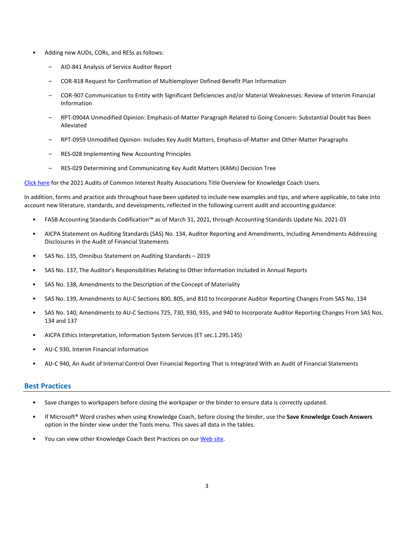- Adding new AUDs, CORs, and RESs as follows:
	- AID-841 Analysis of Service Auditor Report
	- COR-818 Request for Confirmation of Multiemployer Defined Benefit Plan Information
	- COR-907 Communication to Entity with Significant Deficiencies and/or Material Weaknesses: Review of Interim Financial Information
	- RPT-0904A Unmodified Opinion: Emphasis-of-Matter Paragraph Related to Going Concern: Substantial Doubt has Been Alleviated
	- RPT-0959 Unmodified Opinion: Includes Key Audit Matters, Emphasis-of-Matter and Other-Matter Paragraphs
	- RES-028 Implementing New Accounting Principles
	- RES-029 Determining and Communicating Key Audit Matters (KAMs) Decision Tree

[Click here](http://support.cch.com/updates/KnowledgeCoach/pdf/guides_tab/2021%20CIRA%20Audit%20Title%20Overview%20for%20Knowledge%20Coach%20Users.pdf) for the 2021 Audits of Common Interest Realty Associations Title Overview for Knowledge Coach Users.

In addition, forms and practice aids throughout have been updated to include new examples and tips, and where applicable, to take into account new literature, standards, and developments, reflected in the following current audit and accounting guidance:

- FASB Accounting Standards Codification™ as of March 31, 2021, through Accounting Standards Update No. 2021-03
- AICPA Statement on Auditing Standards (SAS) No. 134, Auditor Reporting and Amendments, Including Amendments Addressing Disclosures in the Audit of Financial Statements
- SAS No. 135, Omnibus Statement on Auditing Standards 2019
- SAS No. 137, The Auditor's Responsibilities Relating to Other Information Included in Annual Reports
- SAS No. 138, Amendments to the Description of the Concept of Materiality
- SAS No. 139, Amendments to AU-C Sections 800, 805, and 810 to Incorporate Auditor Reporting Changes From SAS No. 134
- SAS No. 140, Amendments to AU-C Sections 725, 730, 930, 935, and 940 to Incorporate Auditor Reporting Changes From SAS Nos. 134 and 137
- AICPA Ethics Interpretation, Information System Services (ET sec.1.295.145)
- AU-C 930, Interim Financial Information
- AU-C 940, An Audit of Internal Control Over Financial Reporting That Is Integrated With an Audit of Financial Statements

## **Best Practices**

- Save changes to workpapers before closing the workpaper or the binder to ensure data is correctly updated.
- If Microsoft® Word crashes when using Knowledge Coach, before closing the binder, use the **Save Knowledge Coach Answers** option in the binder view under the Tools menu. This saves all data in the tables.
- You can view other Knowledge Coach Best Practices on ou[r Web](https://support.cch.com/kb/solution/000034942/sw34947) site.